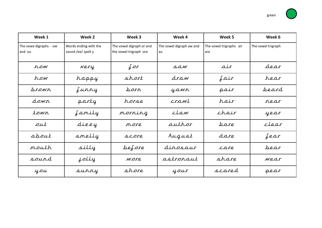| Week 1                           | Week 2                                      | Week 3                                             | Week 4                         | Week 5                         | Week 6             |
|----------------------------------|---------------------------------------------|----------------------------------------------------|--------------------------------|--------------------------------|--------------------|
| The vowe digraphs - ow<br>and ou | Words ending with the<br>sound /ee/ spelt y | The vowel digraph or and<br>the vowel trigraph ore | The vowel digraph aw and<br>au | The vowel trigraphs air<br>are | The vowel trigraph |
| row                              | Nery                                        | $\int \mathcal{L}$                                 | $S$ $AN$                       | air                            | dear               |
| how                              | happy                                       | short                                              | draw                           | $\int \mathcal{A}$ ir          | hear               |
| <u>brown</u>                     | Lunny                                       | porn                                               | yawr                           | pair                           | peard              |
| dowr                             | party                                       | horse                                              | crawl                          | hair                           | rear               |
| town                             | family                                      | norning                                            | claw                           | chair                          | year               |
| out                              | dizzy                                       | more                                               | author                         | pare                           | clear              |
| about                            | smelly                                      | SCOTR                                              | August                         | dare                           | fear               |
| mouth                            | silly                                       | before                                             | dinosaur                       | care                           | bear               |
| sourd                            | jolly                                       | <i>wore</i>                                        | astronaut                      | share                          | wear               |
| you                              | surry                                       | shore                                              | your                           | scared                         | pear               |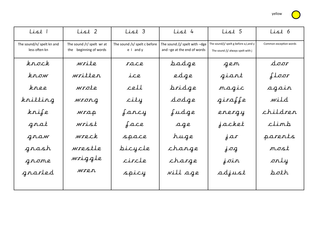yellow

| $List$                                     | List 2                                              | List 3                                        | List 4                                                       | List 5                                                                     | List 6                 |
|--------------------------------------------|-----------------------------------------------------|-----------------------------------------------|--------------------------------------------------------------|----------------------------------------------------------------------------|------------------------|
| The sound/n/ spelt kn and<br>less often kn | The sound /r/ spelt wr at<br>the beginning of words | The sound /s/ spelt c before<br>$e$   and $y$ | The sound /j/ spelt with -dge<br>and -ge at the end of words | The sound/j/ spelt g before a,I,and y<br>The sound /j/ always spelt with j | Common exception words |
| krock                                      | write                                               | race                                          | badge                                                        | gen                                                                        | door                   |
| $k$ now                                    | written                                             | ice                                           | edge                                                         | giant                                                                      | floor                  |
| knee                                       | wrote                                               | cell                                          | pridge                                                       | magic                                                                      | again                  |
| knitting                                   | wrong                                               | city                                          | dodge                                                        | giraffe                                                                    | wild                   |
| krife                                      | wrap                                                | fancy                                         | fudge                                                        | energy                                                                     | children               |
| grat                                       | wrist                                               | face                                          | age                                                          | jacket                                                                     | climb                  |
| graw                                       | wreck                                               | space                                         | huge                                                         | $\dot{\delta}$                                                             | parents                |
| grash                                      | wrestle                                             | bicycle                                       | change                                                       | $j$ og                                                                     | most                   |
| grome                                      | wriggle                                             | circle                                        | charge                                                       | join                                                                       | only                   |
| grarled                                    | wren                                                | spicy                                         | vill age                                                     | adjust                                                                     | poth                   |
|                                            |                                                     |                                               |                                                              |                                                                            |                        |

 $\overline{\phantom{a}}$